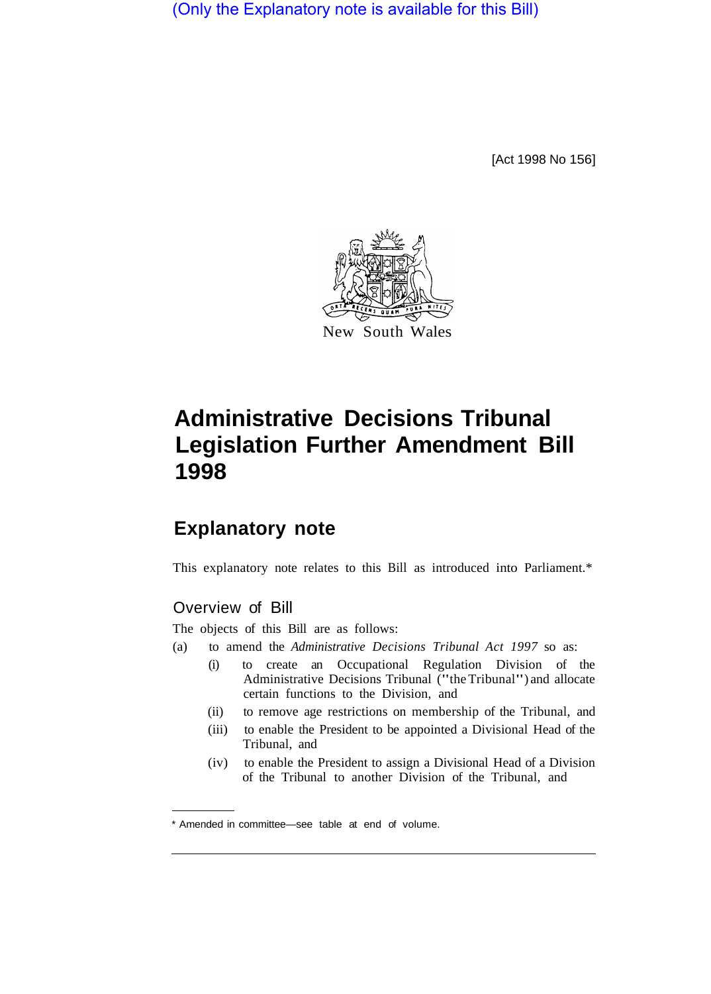(Only the Explanatory note is available for this Bill)

[Act 1998 No 156]



## **Administrative Decisions Tribunal Legislation Further Amendment Bill 1998**

## **Explanatory note**

This explanatory note relates to this Bill as introduced into Parliament.\*

## Overview of Bill

The objects of this Bill are as follows:

- (a) to amend the *Administrative Decisions Tribunal Act 1997* so as:
	- (i) to create an Occupational Regulation Division of the Administrative Decisions Tribunal ("the Tribunal") and allocate certain functions to the Division, and
	- (ii) to remove age restrictions on membership of the Tribunal, and
	- (iii) to enable the President to be appointed a Divisional Head of the Tribunal, and
	- (iv) to enable the President to assign a Divisional Head of a Division of the Tribunal to another Division of the Tribunal, and

<sup>\*</sup> Amended in committee—see table at end of volume.